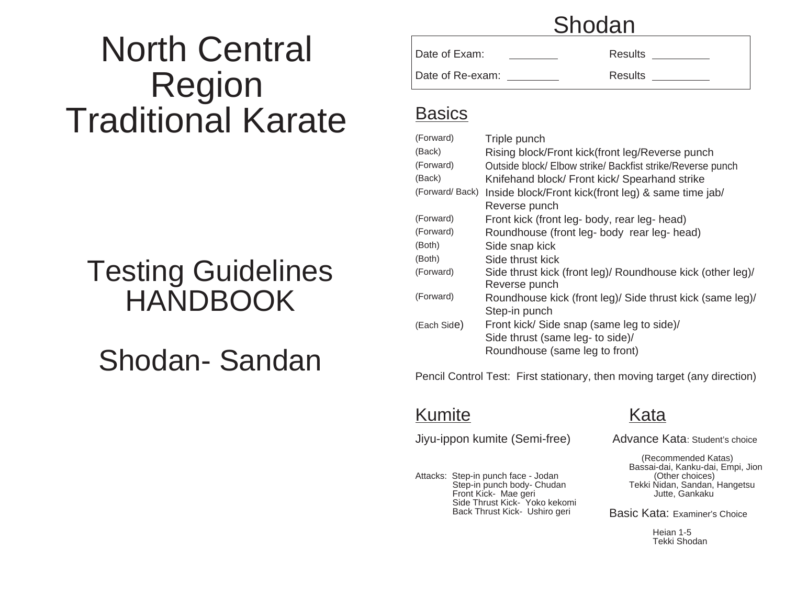# North Central Region Traditional Karate

## Testing Guidelines HANDBOOK

## Shodan- Sandan

### Shodan

Date of Exam: Nesults Results Date of Re-exam: Results

#### **Basics**

| (Forward)      | Triple punch                                               |
|----------------|------------------------------------------------------------|
| (Back)         | Rising block/Front kick(front leg/Reverse punch            |
| (Forward)      | Outside block/ Elbow strike/ Backfist strike/Reverse punch |
| (Back)         | Knifehand block/ Front kick/ Spearhand strike              |
| (Forward/Back) | Inside block/Front kick(front leg) & same time jab/        |
|                | Reverse punch                                              |
| (Forward)      | Front kick (front leg- body, rear leg- head)               |
| (Forward)      | Roundhouse (front leg- body rear leg- head)                |
| (Both)         | Side snap kick                                             |
| (Both)         | Side thrust kick                                           |
| (Forward)      | Side thrust kick (front leg)/ Roundhouse kick (other leg)/ |
|                | Reverse punch                                              |
| (Forward)      | Roundhouse kick (front leg)/ Side thrust kick (same leg)/  |
|                | Step-in punch                                              |
| (Each Side)    | Front kick/ Side snap (same leg to side)/                  |
|                | Side thrust (same leg- to side)/                           |
|                | Roundhouse (same leg to front)                             |
|                |                                                            |

Pencil Control Test: First stationary, then moving target (any direction)

#### Kumite Kata

Jiyu-ippon kumite (Semi-free) Advance Kata: Student's choice

Attacks: Step-in punch face - Jodan<br>Step-in punch body- Chudan Front Kick- Mae geri Side Thrust Kick- Yoko kekomi<br>Back Thrust Kick- Ushiro geri

 (Recommended Katas) Bassai-dai, Kanku-dai, Empi, Jion Tekki Nidan, Sandan, Hangetsu<br>Jutte, Gankaku

Basic Kata: Examiner's Choice

Heian 1-5 Tekki Shodan